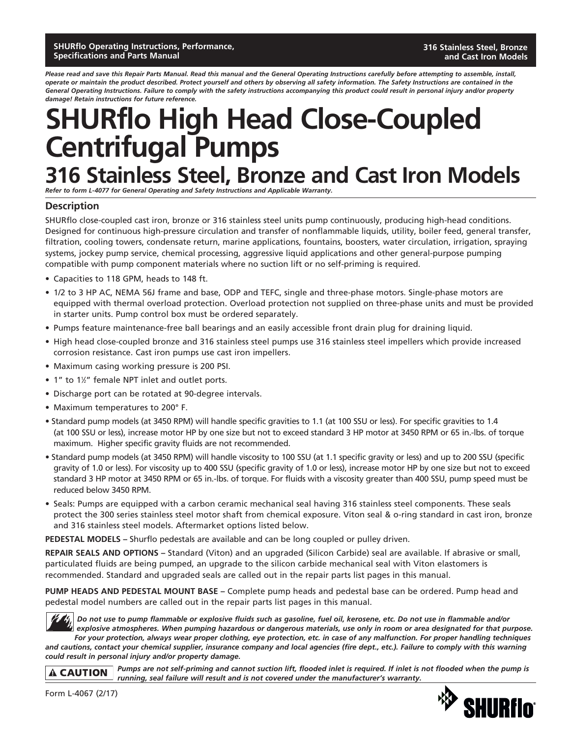**SHURflo Operating Instructions, Performance, Specifications and Parts Manual**

Please read and save this Repair Parts Manual. Read this manual and the General Operating Instructions carefully before attempting to assemble, install, *operate or maintain the product described. Protect yourself and others by observing all safety information. The Safety Instructions are contained in the General Operating Instructions. Failure to comply with the safety instructions accompanying this product could result in personal injury and/or property damage! Retain instructions for future reference.*

# **SHURflo High Head Close-Coupled Centrifugal Pumps 316 Stainless Steel, Bronze and Cast Iron Models**

*Refer to form L-4077 for General Operating and Safety Instructions and Applicable Warranty.*

### **Description**

SHURflo close-coupled cast iron, bronze or 316 stainless steel units pump continuously, producing high-head conditions. Designed for continuous high-pressure circulation and transfer of nonflammable liquids, utility, boiler feed, general transfer, filtration, cooling towers, condensate return, marine applications, fountains, boosters, water circulation, irrigation, spraying systems, jockey pump service, chemical processing, aggressive liquid applications and other general-purpose pumping compatible with pump component materials where no suction lift or no self-priming is required.

- Capacities to 118 GPM, heads to 148 ft.
- 1/2 to 3 HP AC, NEMA 56J frame and base, ODP and TEFC, single and three-phase motors. Single-phase motors are equipped with thermal overload protection. Overload protection not supplied on three-phase units and must be provided in starter units. Pump control box must be ordered separately.
- Pumps feature maintenance-free ball bearings and an easily accessible front drain plug for draining liquid.
- High head close-coupled bronze and 316 stainless steel pumps use 316 stainless steel impellers which provide increased corrosion resistance. Cast iron pumps use cast iron impellers.
- Maximum casing working pressure is 200 PSI.
- 1" to 1½" female NPT inlet and outlet ports.
- Discharge port can be rotated at 90-degree intervals.
- Maximum temperatures to 200° F.
- Standard pump models (at 3450 RPM) will handle specific gravities to 1.1 (at 100 SSU or less). For specific gravities to 1.4 (at 100 SSU or less), increase motor HP by one size but not to exceed standard 3 HP motor at 3450 RPM or 65 in.-lbs. of torque maximum. Higher specific gravity fluids are not recommended.
- Standard pump models (at 3450 RPM) will handle viscosity to 100 SSU (at 1.1 specific gravity or less) and up to 200 SSU (specific gravity of 1.0 or less). For viscosity up to 400 SSU (specific gravity of 1.0 or less), increase motor HP by one size but not to exceed standard 3 HP motor at 3450 RPM or 65 in.-lbs. of torque. For fluids with a viscosity greater than 400 SSU, pump speed must be reduced below 3450 RPM.
- Seals: Pumps are equipped with a carbon ceramic mechanical seal having 316 stainless steel components. These seals protect the 300 series stainless steel motor shaft from chemical exposure. Viton seal & o-ring standard in cast iron, bronze and 316 stainless steel models. Aftermarket options listed below.

**PEDESTAL MODELS –** Shurflo pedestals are available and can be long coupled or pulley driven.

**REPAIR SEALS AND OPTIONS –** Standard (Viton) and an upgraded (Silicon Carbide) seal are available. If abrasive or small, particulated fluids are being pumped, an upgrade to the silicon carbide mechanical seal with Viton elastomers is recommended. Standard and upgraded seals are called out in the repair parts list pages in this manual.

**PUMP HEADS AND PEDESTAL MOUNT BASE –** Complete pump heads and pedestal base can be ordered. Pump head and pedestal model numbers are called out in the repair parts list pages in this manual.

 *Do not use to pump flammable or explosive fluids such as gasoline, fuel oil, kerosene, etc. Do not use in flammable and/or explosive atmospheres. When pumping hazardous or dangerous materials, use only in room or area designated for that purpose.* 

*For your protection, always wear proper clothing, eye protection, etc. in case of any malfunction. For proper handling techniques and cautions, contact your chemical supplier, insurance company and local agencies (fire dept., etc.). Failure to comply with this warning could result in personal injury and/or property damage.*

*Pumps are not self-priming and cannot suction lift, flooded inlet is required. If inlet is not flooded when the pump is*  **A CAUTION** *running, seal failure will result and is not covered under the manufacturer's warranty.*



Form L-4067 (2/17)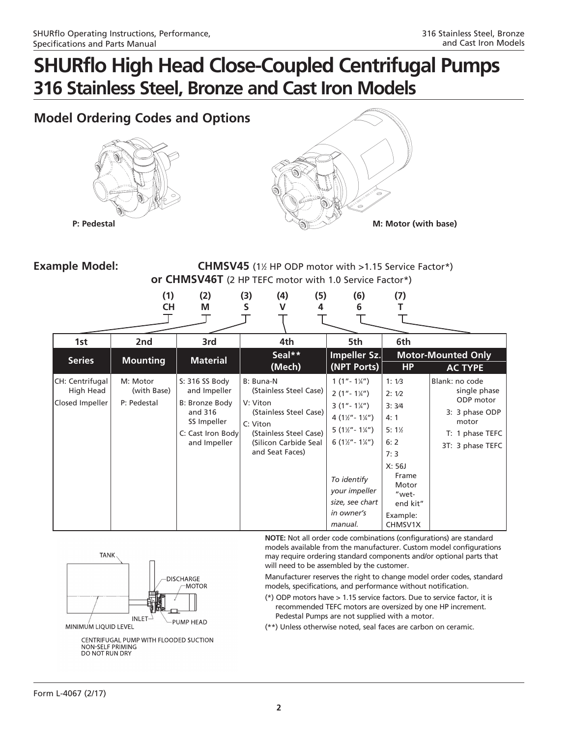### **Model Ordering Codes and Options**





**Example Model: CHMSV45** (1 $\frac{1}{2}$  HP ODP motor with >1.15 Service Factor\*) **or CHMSV46T** (2 HP TEFC motor with 1.0 Service Factor\*)

|                                                 | (1)<br><b>CH</b>                       | (2)<br>M                                                                                                        | (3)<br>(4)<br>v<br>S                                                                                                                                        | (5)<br>4 | (6)<br>6                                                                                                                                                                                                                                                          | (7)                                                                                                                             |                                                                                                               |
|-------------------------------------------------|----------------------------------------|-----------------------------------------------------------------------------------------------------------------|-------------------------------------------------------------------------------------------------------------------------------------------------------------|----------|-------------------------------------------------------------------------------------------------------------------------------------------------------------------------------------------------------------------------------------------------------------------|---------------------------------------------------------------------------------------------------------------------------------|---------------------------------------------------------------------------------------------------------------|
| 1st                                             | 2nd                                    | 3rd                                                                                                             | 4th                                                                                                                                                         |          | 5th                                                                                                                                                                                                                                                               | 6th                                                                                                                             |                                                                                                               |
| <b>Series</b>                                   | <b>Mounting</b>                        | <b>Material</b>                                                                                                 | Seal**<br>(Mech)                                                                                                                                            |          | Impeller Sz.<br>(NPT Ports)                                                                                                                                                                                                                                       | <b>HP</b>                                                                                                                       | <b>Motor-Mounted Only</b><br><b>AC TYPE</b>                                                                   |
| CH: Centrifugal<br>High Head<br>Closed Impeller | M: Motor<br>(with Base)<br>P: Pedestal | S: 316 SS Body<br>and Impeller<br>B: Bronze Body<br>and 316<br>SS Impeller<br>C: Cast Iron Body<br>and Impeller | B: Buna-N<br>(Stainless Steel Case)<br>V: Viton<br>(Stainless Steel Case)<br>C: Viton<br>(Stainless Steel Case)<br>(Silicon Carbide Seal<br>and Seat Faces) |          | $1(1 - 1\frac{1}{4})$<br>$2(1 - 1\frac{1}{4})$<br>$3(1 - 1\frac{1}{4})$<br>4 $(1\frac{1}{2} - 1\frac{1}{4})$<br>$5(1\frac{1}{2} - 1\frac{1}{4})$<br>6 $(1\frac{1}{2} - 1\frac{1}{4})$<br>To identify<br>your impeller<br>size, see chart<br>in owner's<br>manual. | 1:1/3<br>2:1/2<br>3:3/4<br>4:1<br>$5:1\%$<br>6:2<br>7:3<br>X: 56J<br>Frame<br>Motor<br>"wet-<br>end kit"<br>Example:<br>CHMSV1X | Blank: no code<br>single phase<br>ODP motor<br>3: 3 phase ODP<br>motor<br>T: 1 phase TEFC<br>3T: 3 phase TEFC |



CENTRIFUGAL PUMP WITH FLOODED SUCTION NON-SELF PRIMING DO NOT RUN DRY

**NOTE:** Not all order code combinations (configurations) are standard models available from the manufacturer. Custom model configurations may require ordering standard components and/or optional parts that will need to be assembled by the customer.

Manufacturer reserves the right to change model order codes, standard models, specifications, and performance without notification.

(\*) ODP motors have > 1.15 service factors. Due to service factor, it is recommended TEFC motors are oversized by one HP increment. Pedestal Pumps are not supplied with a motor.

(\*\*) Unless otherwise noted, seal faces are carbon on ceramic.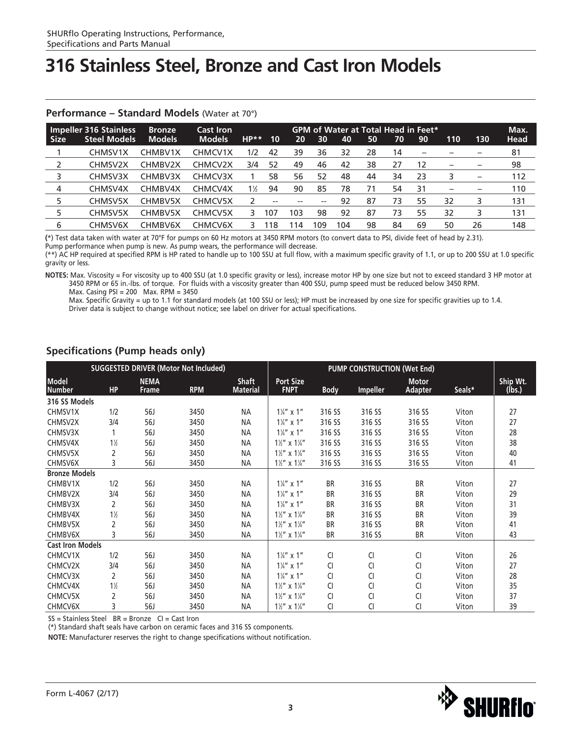| <b>Size</b> | <b>Impeller 316 Stainless</b><br><b>Steel Models</b> | <b>Bronze</b><br><b>Models</b> | <b>Cast Iron</b><br><b>Models</b> | $HP***$ | 10    | 20    | 30  | <b>GPM of Water at Total Head in Feet*</b><br>40 | 50 | 70 | 90 | 110                      | 130                      | Max.<br>Head |
|-------------|------------------------------------------------------|--------------------------------|-----------------------------------|---------|-------|-------|-----|--------------------------------------------------|----|----|----|--------------------------|--------------------------|--------------|
|             | CHMSV1X                                              | CHMBV1X                        | CHMCV1X                           | 1/2     | 42    | 39    | 36  | 32                                               | 28 | 14 |    |                          |                          | 81           |
|             | CHMSV2X                                              | CHMBV2X                        | CHMCV2X                           | 3/4     | 52    | 49    | 46  | 42                                               | 38 | 27 | 12 |                          | -                        | 98           |
|             | CHMSV3X                                              | CHMBV3X                        | CHMCV3X                           |         | 58    | 56    | 52  | 48                                               | 44 | 34 | 23 | 3                        | $\overline{\phantom{m}}$ | 112          |
| 4           | CHMSV4X                                              | CHMBV4X                        | CHMCV4X                           | $1\%$   | 94    | 90    | 85  | 78                                               | 71 | 54 | 31 | $\overline{\phantom{0}}$ | $\overline{\phantom{0}}$ | 110          |
|             | CHMSV5X                                              | CHMBV5X                        | CHMCV5X                           |         | $- -$ | $- -$ | --  | 92                                               | 87 | 73 | 55 | 32                       | 3                        | 131          |
|             | CHMSV5X                                              | CHMBV5X                        | CHMCV5X                           | 3       | 107   | 103   | 98  | 92                                               | 87 | 73 | 55 | 32                       | 3                        | 131          |
| 6           | CHMSV6X                                              | CHMBV6X                        | CHMCV6X                           |         | 18    | 14    | 109 | 104                                              | 98 | 84 | 69 | 50                       | 26                       | 148          |

#### **Performance – Standard Models** (Water at 70°)

**(**\*) Test data taken with water at 70°F for pumps on 60 Hz motors at 3450 RPM motors (to convert data to PSI, divide feet of head by 2.31).

Pump performance when pump is new. As pump wears, the performance will decrease.

(\*\*) AC HP required at specified RPM is HP rated to handle up to 100 SSU at full flow, with a maximum specific gravity of 1.1, or up to 200 SSU at 1.0 specific gravity or less.

**NOTES:** Max. Viscosity = For viscosity up to 400 SSU (at 1.0 specific gravity or less), increase motor HP by one size but not to exceed standard 3 HP motor at 3450 RPM or 65 in.-lbs. of torque. For fluids with a viscosity greater than 400 SSU, pump speed must be reduced below 3450 RPM. Max. Casing PSI = 200 Max. RPM = 3450

Max. Specific Gravity = up to 1.1 for standard models (at 100 SSU or less); HP must be increased by one size for specific gravities up to 1.4. Driver data is subject to change without notice; see label on driver for actual specifications.

| <b>Specifications (Pump heads only)</b> |  |  |
|-----------------------------------------|--|--|
|                                         |  |  |

|                               |                |                      | <b>SUGGESTED DRIVER (Motor Not Included)</b> |                                 |                                     |             |                 |                                |        |                    |
|-------------------------------|----------------|----------------------|----------------------------------------------|---------------------------------|-------------------------------------|-------------|-----------------|--------------------------------|--------|--------------------|
| <b>Model</b><br><b>Number</b> | <b>HP</b>      | <b>NEMA</b><br>Frame | <b>RPM</b>                                   | <b>Shaft</b><br><b>Material</b> | <b>Port Size</b><br><b>FNPT</b>     | <b>Body</b> | <b>Impeller</b> | <b>Motor</b><br><b>Adapter</b> | Seals* | Ship Wt.<br>(Íbs.) |
| 316 SS Models                 |                |                      |                                              |                                 |                                     |             |                 |                                |        |                    |
| CHMSV1X                       | 1/2            | 56J                  | 3450                                         | <b>NA</b>                       | $1\frac{1}{4}$ " x 1"               | 316 SS      | 316 SS          | 316 SS                         | Viton  | 27                 |
| CHMSV2X                       | 3/4            | 56J                  | 3450                                         | <b>NA</b>                       | $1\frac{1}{4}$ " x 1"               | 316 SS      | 316 SS          | 316 SS                         | Viton  | 27                 |
| CHMSV3X                       | 1              | <b>56J</b>           | 3450                                         | <b>NA</b>                       | $1\frac{1}{4}$ " x 1"               | 316 SS      | 316 SS          | 316 SS                         | Viton  | 28                 |
| CHMSV4X                       | $1\frac{1}{2}$ | <b>56J</b>           | 3450                                         | <b>NA</b>                       | $1\frac{1}{2}$ " x $1\frac{1}{4}$ " | 316 SS      | 316 SS          | 316 SS                         | Viton  | 38                 |
| CHMSV5X                       | 2              | <b>56J</b>           | 3450                                         | <b>NA</b>                       | $1\frac{1}{4}$ " x $1\frac{1}{4}$ " | 316 SS      | 316 SS          | 316 SS                         | Viton  | 40                 |
| CHMSV6X                       | 3              | 56J                  | 3450                                         | <b>NA</b>                       | $1\frac{1}{2}$ " x $1\frac{1}{4}$ " | 316 SS      | 316 SS          | 316 SS                         | Viton  | 41                 |
| <b>Bronze Models</b>          |                |                      |                                              |                                 |                                     |             |                 |                                |        |                    |
| CHMBV1X                       | 1/2            | <b>56J</b>           | 3450                                         | <b>NA</b>                       | $1\frac{1}{4}$ " x 1"               | <b>BR</b>   | 316 SS          | <b>BR</b>                      | Viton  | 27                 |
| CHMBV2X                       | 3/4            | <b>56J</b>           | 3450                                         | <b>NA</b>                       | $1\frac{1}{4}$ " x 1"               | <b>BR</b>   | 316 SS          | <b>BR</b>                      | Viton  | 29                 |
| CHMBV3X                       | 2              | 56J                  | 3450                                         | <b>NA</b>                       | $1\frac{1}{4}$ " x 1"               | <b>BR</b>   | 316 SS          | <b>BR</b>                      | Viton  | 31                 |
| CHMBV4X                       | $1\frac{1}{2}$ | 56J                  | 3450                                         | <b>NA</b>                       | $1\frac{1}{2}$ " x $1\frac{1}{4}$ " | <b>BR</b>   | 316 SS          | <b>BR</b>                      | Viton  | 39                 |
| CHMBV5X                       | 2              | 56J                  | 3450                                         | <b>NA</b>                       | $1\frac{1}{2}$ " x $1\frac{1}{4}$ " | <b>BR</b>   | 316 SS          | <b>BR</b>                      | Viton  | 41                 |
| CHMBV6X                       | 3              | 56J                  | 3450                                         | <b>NA</b>                       | $1\frac{1}{2}$ " x $1\frac{1}{4}$ " | <b>BR</b>   | 316 SS          | <b>BR</b>                      | Viton  | 43                 |
| <b>Cast Iron Models</b>       |                |                      |                                              |                                 |                                     |             |                 |                                |        |                    |
| CHMCV1X                       | 1/2            | <b>56J</b>           | 3450                                         | <b>NA</b>                       | $1\frac{1}{4}$ " x 1"               | CI          | CI              | CI                             | Viton  | 26                 |
| CHMCV2X                       | 3/4            | 56J                  | 3450                                         | <b>NA</b>                       | $1\frac{1}{4}$ " x 1"               | CI          | CI              | CI                             | Viton  | 27                 |
| CHMCV3X                       | 2              | <b>56J</b>           | 3450                                         | <b>NA</b>                       | $1\frac{1}{4}$ " x 1"               | CI          | CI              | CI                             | Viton  | 28                 |
| CHMCV4X                       | $1\frac{1}{2}$ | 56J                  | 3450                                         | <b>NA</b>                       | $1\frac{1}{2}$ " x $1\frac{1}{4}$ " | CI          | CI              | CI                             | Viton  | 35                 |
| CHMCV5X                       | 2              | <b>56J</b>           | 3450                                         | <b>NA</b>                       | $1\frac{1}{2}$ " x $1\frac{1}{4}$ " | CI          | CI              | CI                             | Viton  | 37                 |
| CHMCV6X                       | 3              | 56J                  | 3450                                         | <b>NA</b>                       | $1\frac{1}{2}$ " x $1\frac{1}{4}$ " | CI          | CI              | <b>CI</b>                      | Viton  | 39                 |

 $SS = Stainless Steel$   $BR = Bronze$   $Cl = Cast$  Iron

(\*) Standard shaft seals have carbon on ceramic faces and 316 SS components.

**NOTE:** Manufacturer reserves the right to change specifications without notification.

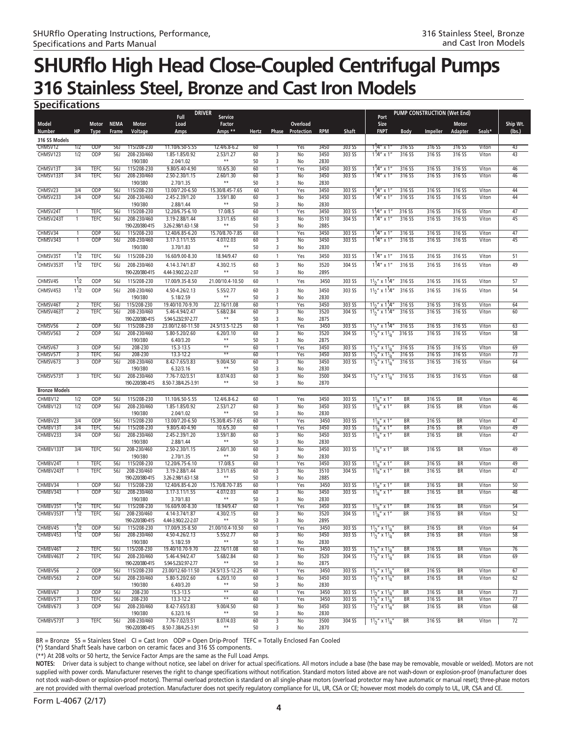**Specifications**

|                      |                                  |                     |                   |                                | <b>DRIVER</b><br>Full                  | Service                      |              |                     |                         |              |                  | PUMP CONSTRUCTION (Wet End)<br>Port                                |                        |                  |                  |                |                       |
|----------------------|----------------------------------|---------------------|-------------------|--------------------------------|----------------------------------------|------------------------------|--------------|---------------------|-------------------------|--------------|------------------|--------------------------------------------------------------------|------------------------|------------------|------------------|----------------|-----------------------|
| Model                |                                  | <b>Motor</b>        | <b>NEMA</b>       | Motor                          | Load                                   | Factor                       |              |                     | Overload                |              |                  | Size                                                               |                        |                  | Motor            |                | Ship Wt.              |
| <b>Number</b>        | <b>HP</b>                        | Type                | Frame             | Voltage                        | Amps                                   | Amps **                      | <b>Hertz</b> |                     | <b>Phase Protection</b> | <b>RPM</b>   | <b>Shaft</b>     | <b>FNPT</b>                                                        | Body                   | <b>Impeller</b>  | Adapter          | Seals*         | (lbs.)                |
| 316 SS Models        |                                  |                     |                   |                                |                                        |                              |              |                     |                         |              |                  |                                                                    |                        |                  |                  |                |                       |
| CHMSV12<br>CHMSV123  | 1/2<br>1/2                       | ODP<br>ODP          | 56J<br><b>56J</b> | 115/208-230<br>208-230/460     | 11.10/6.50-5.55<br>1.85-1.85/0.92      | 12.4/6.8-6.2<br>2.53/1.27    | 60<br>60     | 3                   | Yes<br>No               | 3450<br>3450 | 303 SS<br>303 SS | $1\frac{4}{9}$ x 1<br>$1^{1}/4''$ x 1                              | 316 SS<br>316 SS       | 316 SS<br>316 SS | 316 SS<br>316 SS | Viton<br>Viton | 43<br>43              |
|                      |                                  |                     |                   | 190/380                        | 2.04/1.02                              | $\star\star$                 | 50           | 3                   | No                      | 2830         |                  |                                                                    |                        |                  |                  |                |                       |
| CHMSV13T             | 3/4                              | <b>TEFC</b>         | 56J               | 115/208-230                    | 9.80/5.40-4.90                         | 10.6/5.30                    | 60           | $\overline{1}$      | Yes                     | 3450         | 303 SS           | $1^{1}/4''$ x 1                                                    | 316 SS                 | 316 SS           | 316 SS           | Viton          | 46                    |
| CHMSV133T            | $\overline{3/4}$                 | <b>TEFC</b>         | 56J               | 208-230/460                    | 2.50-2.30/1.15                         | 2.60/1.30<br>$***$           | 60           | 3                   | No                      | 3450         | 303 SS           | $1^{1}/4''$ x 1'                                                   | 316 SS                 | 316 SS           | 316 SS           | Viton          | 46                    |
| CHMSV23              | 3/4                              | ODP                 | 56J               | 190/380<br>115/208-230         | 2.70/1.35<br>13.00/7.20-6.50           | 15.30/8.45-7.65              | 50<br>60     | 3<br>$\mathbf{1}$   | No<br>Yes               | 2830<br>3450 | 303 SS           | $1^{1}/4''$ x $1''$                                                | 316 SS                 | 316 SS           | 316 SS           | Viton          | 44                    |
| CHMSV233             | 3/4                              | ODP                 | 56J               | 208-230/460                    | 2.45-2.39/1.20                         | 3.59/1.80                    | 60           |                     | No                      | 3450         | 303 SS           | $1^{1}/4''$ x $1''$                                                | 316 SS                 | 316 SS           | 316 SS           | Viton          | 44                    |
|                      |                                  |                     |                   | 190/380                        | 2.88/1.44                              | $\star\star$                 | 50           | 3                   | No                      | 2830         |                  |                                                                    |                        |                  |                  |                |                       |
| CHMSV24T             | 1<br>$\mathbf{1}$                | TEFC<br><b>TEFC</b> | 56J<br>56J        | 115/208-230                    | 12.20/6.75-6.10                        | 17.0/8.5<br>3.31/1.65        | 60<br>60     | 1                   | Yes                     | 3450<br>3510 | 303 SS           | $1^{1}/4$ " x 1<br>$1^{1}/4''$ x 1"                                | 316 SS<br>316 SS       | 316 SS           | 316 SS           | Viton          | 47<br>45              |
| CHMSV243T            |                                  |                     |                   | 208-230/460<br>190-220/380-415 | 3.19-2.88/1.44<br>3.26-2.98/1.63-1.58  | $\star\,\star$               | 50           | 3<br>3              | No<br>No                | 2885         | 304 SS           |                                                                    |                        | 316 SS           | 316 SS           | Viton          |                       |
| CHMSV34              | $\overline{1}$                   | ODP                 | 56J               | 115/208-230                    | 12.40/6.85-6.20                        | 15.70/8.70-7.85              | 60           | 1                   | Yes                     | 3450         | 303 SS           | $1^{1}/4''$ x 1                                                    | 316 SS                 | 316 SS           | 316 SS           | Viton          | 47                    |
| CHMSV343             | $\mathbf{1}$                     | ODP                 | 56J               | 208-230/460                    | 3.17-3.11/1.55                         | 4.07/2.03                    | 60           | 3                   | No                      | 3450         | 303 SS           | $1^{1}/4''$ x 1"                                                   | 316 SS                 | 316 SS           | 316 SS           | Viton          | 45                    |
|                      |                                  |                     |                   | 190/380                        | 3.70/1.83                              | $\star\star$                 | 50           | 3                   | No                      | 2830         |                  |                                                                    |                        |                  |                  |                |                       |
| CHMSV35T             | $1\frac{1}{2}$                   | <b>TEFC</b>         | 56J               | 115/208-230                    | 16.60/9.00-8.30                        | 18.94/9.47                   | 60           | $\mathbf{1}$        | Yes                     | 3450         | 303 SS           | $1^{1}/4''$ x 1"                                                   | 316 SS                 | 316 SS           | 316 SS           | Viton          | 51                    |
| CHMSV353T            | $1^{1/2}$                        | <b>TEFC</b>         | 56J               | 208-230/460                    | 4.14-3.74/1.87                         | 4.30/2.15<br>$\star\star$    | 60           | 3                   | No                      | 3520         | 304 SS           | $1^{1}/4''$ x 1"                                                   | 316 SS                 | 316 SS           | 316 SS           | Viton          | 49                    |
|                      |                                  |                     |                   | 190-220/380-415                | 4.44-3.90/2.22-2.07                    |                              | 50           | 3                   | No                      | 2895         |                  |                                                                    |                        |                  |                  |                |                       |
| CHMSV45              | $1^{1/2}$                        | ODP                 | <b>56J</b>        | 115/208-230                    | 17.00/9.35-8.50                        | 21.00/10.4-10.50             | 60           | $\mathbf{1}$        | Yes                     | 3450         | 303 SS           | $1\frac{1}{2}$ " x $1\frac{1}{4}$ "                                | 316 SS                 | 316 SS           | 316 SS           | Viton          | 57                    |
| CHMSV453             | $1^{1/2}$                        | ODP                 | <b>56J</b>        | 208-230/460<br>190/380         | 4.50-4.26/2.13<br>5.18/2.59            | 5.55/2.77<br>$***$           | 60<br>50     | 3<br>3              | No<br>No                | 3450<br>2830 | 303 SS           | $1\frac{1}{2}$ x $1\frac{1}{4}$                                    | 316 SS                 | 316 SS           | 316 SS           | Viton          | 54                    |
| CHMSV46T             | $\overline{2}$                   | <b>TEFC</b>         | 56J               | 115/208-230                    | 19.40/10.70-9.70                       | 22.16/11.08                  | 60           | 1                   | Yes                     | 3450         | 303 SS           | $1\frac{1}{2}$ " x $1\frac{1}{4}$ "                                | 316 SS                 | 316 SS           | 316 SS           | Viton          | 64                    |
| CHMSV463T            | $\overline{2}$                   | <b>TEFC</b>         | 56J               | 208-230/460                    | 5.46-4.94/2.47                         | 5.68/2.84                    | 60           | $\overline{3}$      | No                      | 3520         | 304 SS           | $\frac{1}{1}$ / <sub>2</sub> " x 1 <sup>1</sup> /4"                | 316 SS                 | 316 SS           | 316 SS           | Viton          | 60                    |
|                      |                                  |                     |                   | 190-220/380-415                | 5.94-5.23/2.97-2.77                    | $***$                        | 50           | 3                   | No                      | 2875         |                  |                                                                    |                        |                  |                  |                |                       |
| CHMSV56<br>CHMSV563  | $\overline{2}$<br>$\overline{2}$ | ODP<br>ODP          | 56J<br>56J        | 115/208-230<br>208-230/460     | 23.00/12.60-11.50<br>5.80-5.20/2.60    | 24.5/13.5-12.25<br>6.20/3.10 | 60<br>60     | 1<br>3              | Yes<br>No               | 3450<br>3520 | 303 SS<br>304 SS | $1\frac{1}{2}$ x $1\frac{1}{4}$                                    | 316 SS<br>316 SS       | 316 SS<br>316 SS | 316 SS<br>316 SS | Viton<br>Viton | 63<br>58              |
|                      |                                  |                     |                   | 190/380                        | 6.40/3.20                              | $***$                        | 50           | 3                   | No                      | 2875         |                  | $1\frac{1}{2}$ " x $1\frac{1}{4}$ "                                |                        |                  |                  |                |                       |
| CHMSV67              | $\overline{3}$                   | ODP                 | 56J               | 208-230                        | 15.3-13.5                              | $\overline{**}$              | 60           | 1                   | Yes                     | 3450         | 303 SS           | $1\frac{1}{2}$ " x $1\frac{1}{4}$ "                                | 316 SS                 | 316 SS           | 316 SS           | Vlton          | 69                    |
| CHMSV571             | 3                                | TEFC                | 56J               | 208-230                        | 13.3-12.2                              | $\overline{**}$              | 60           | 1                   | Yes                     | 3450         | 303 SS           | $1\frac{1}{2}$ x $1\frac{1}{4}$                                    | 316 SS                 | 316 SS           | 316 SS           | Viton          | 73                    |
| CHMSV673             | 3                                | ODP                 | 56J               | 208-230/460<br>190/380         | 8.42-7.65/3.83<br>6.32/3.16            | 9.00/4.50<br>$\star\star$    | 60<br>50     | 3<br>3              | No<br>No                | 3450<br>2830 | 303 SS           | $11/2$ x $11/4$                                                    | 316 SS                 | 316 SS           | 316 SS           | Viton          | 64                    |
| CHMSV573T            | 3                                | <b>TEFC</b>         | 56J               | 208-230/460                    | 7.76-7.02/3.51                         | 8.07/4.03                    | 60           | $\overline{3}$      | No                      | 3500         | 304 SS           | $1\frac{1}{2}$ " x $1\frac{1}{4}$ "                                | 316 SS                 | 316 SS           | 316 SS           | Viton          | 68                    |
|                      |                                  |                     |                   | 190-220/380-415                | 8.50-7.38/4.25-3.91                    | $***$                        | 50           | 3                   | No                      | 2870         |                  |                                                                    |                        |                  |                  |                |                       |
| <b>Bronze Models</b> |                                  |                     |                   |                                |                                        |                              |              |                     |                         |              |                  |                                                                    |                        |                  |                  |                |                       |
| CHMBV12              | 1/2                              | ODP                 | <b>56J</b>        | 115/208-230                    | 11.10/6.50-5.55                        | 12.4/6.8-6.2                 | 60           | $\mathbf{1}$        | Yes                     | 3450         | 303 SS           | $1\frac{1}{4}$ " x 1"                                              | BR                     | 316 SS           | BR               | Viton          | 46                    |
| CHMBV123             | 1/2                              | ODP                 | 56J               | 208-230/460<br>190/380         | 1.85-1.85/0.92<br>2.04/1.02            | 2.53/1.27<br>$***$           | 60<br>50     | 3<br>3              | No<br>No                | 3450<br>2830 | 303 SS           | $1\frac{1}{4}$ x 1                                                 | <b>BR</b>              | 316 SS           | <b>BR</b>        | Viton          | 46                    |
| CHMBV23              | 3/4                              | ODP                 | 56J               | 115/208-230                    | 13.00/7.20-6.50                        | 15.30/8.45-7.65              | 60           | 1                   | Yes                     | 3450         | 303 SS           | $11_{4}$ " x 1'                                                    | <b>BR</b>              | 316 SS           | <b>BR</b>        | Viton          | 47                    |
| CHMBV131             | $\overline{3/4}$                 | TEFC                | 56J               | 115/208-230                    | 9.80/5.40-4.90                         | 10.6/5.30                    | 60           | 1                   | Yes                     | 3450         | 303 SS           | $1\frac{1}{4}$ " x 1'                                              | $\overline{BR}$        | 316 SS           | $\overline{BR}$  | Viton          | 49                    |
| CHMBV233             | 3/4                              | ODP                 | 56J               | 208-230/460                    | 2.45-2.39/1.20                         | 3.59/1.80                    | 60           | 3                   | No                      | 3450         | 303 SS           | $1\frac{1}{4}$ x 1                                                 | <b>BR</b>              | 316 SS           | <b>BR</b>        | Viton          | 47                    |
| CHMBV133T            | 3/4                              | <b>TEFC</b>         | 56J               | 190/380<br>208-230/460         | 2.88/1.44<br>2.50-2.30/1.15            | $***$<br>2.60/1.30           | 50<br>60     | 3<br>$\overline{3}$ | No<br>No                | 2830<br>3450 | 303 SS           |                                                                    | <b>BR</b>              | 316 SS           | <b>BR</b>        | Viton          | 49                    |
|                      |                                  |                     |                   | 190/380                        | 2.70/1.35                              | $***$                        | 50           | 3                   | No                      | 2830         |                  | $11_{4}$ " x 1"                                                    |                        |                  |                  |                |                       |
| CHMBV24T             | -1                               | <b>TEFC</b>         | 56J               | 115/208-230                    | 12.20/6.75-6.10                        | 17.0/8.5                     | 60           | $\overline{1}$      | Yes                     | 3450         | 303 SS           | $1\frac{1}{4}$ " x 1'                                              | <b>BR</b>              | 316 SS           | <b>BR</b>        | Viton          | 49                    |
| CHMBV243T            | $\mathbf{1}$                     | <b>TEFC</b>         | 56J               | 208-230/460                    | 3.19-2.88/1.44                         | 3.31/1.65                    | 60           |                     | No                      | 3510         | 304 SS           | $1\frac{1}{4}$ x 1"                                                | BR                     | 316 SS           | $\overline{BR}$  | Viton          | 47                    |
|                      |                                  |                     |                   | 190-220/380-415                | 3.26-2.98/1.63-1.58                    | $^{\star\star}$              | 50           | 3                   | No                      | 2885         |                  |                                                                    |                        |                  |                  |                |                       |
| CHMBV34<br>CHMBV343  | 1<br>1                           | ODP<br>ODP          | 56J<br><b>56J</b> | 115/208-230<br>208-230/460     | 12.40/6.85-6.20<br>3.17-3.11/1.55      | 15.70/8.70-7.85<br>4.07/2.03 | 60<br>60     | 1<br>3              | Yes<br>No               | 3450<br>3450 | 303 SS<br>303 SS | $1\frac{1}{4}$ x 1'<br>$1\frac{1}{4}$ " x 1'                       | BR<br><b>BR</b>        | 316 SS<br>316 SS | BR<br>BR         | Viton<br>Viton | 50<br>48              |
|                      |                                  |                     |                   | 190/380                        | 3.70/1.83                              | $^{\star\star}$              | 50           | 3                   | No                      | 2830         |                  |                                                                    |                        |                  |                  |                |                       |
| CHMBV351             | $\frac{1}{2}$                    | TEFC                | 56J               | 115/208-230                    | 16.60/9.00-8.30                        | 18.94/9.47                   | 60           | 1                   | Yes                     | 3450         | 303 SS           | $1\frac{1}{4}$ x 1                                                 | BR                     | 316 SS           | BR               | Viton          | 54                    |
| CHMBV353T            | $1\frac{1}{2}$                   | <b>TEFC</b>         | 56J               | 208-230/460                    | 4.14-3.74/1.87                         | 4.30/2.15<br>$^{\star\star}$ | 60           | 3                   | No                      | 3520         | 304 SS           | $1\frac{1}{4}$ x 1'                                                | <b>BR</b>              | 316 SS           | <b>BR</b>        | Viton          | 52                    |
| CHMBV45              | $1\frac{1}{2}$                   | <b>ODP</b>          | 56J               | 190-220/380-415<br>115/208-230 | 4.44-3.90/2.22-2.07<br>17.00/9.35-8.50 | 21.00/10.4-10.50             | 50<br>60     | 3                   | No<br>Yes               | 2895<br>3450 | 303 55           | $1\frac{1}{2}$ x $1\frac{1}{4}$                                    | BR                     | 316 55           | BR               | Viton          | 64                    |
| CHMBV453             | $\frac{1}{2}$                    | ODP                 | 56J               | 208-230/460                    | 4.50-4.26/2.13                         | 5.55/2.77                    | 60           | $\overline{3}$      | No                      | 3450         | 303 SS           | $1\frac{1}{2}$ " x $1\frac{1}{4}$ "                                | <b>BR</b>              | 316 SS           | BR               | Viton          | $\overline{58}$       |
|                      |                                  |                     |                   | 190/380                        | 5.18/2.59                              | $^{\star\star}$              | 50           | 3                   | No                      | 2830         |                  |                                                                    |                        |                  |                  |                |                       |
| CHMBV46T             | 2                                | <b>TEFC</b>         | 56J               | 115/208-230                    | 19.40/10.70-9.70                       | 22.16/11.08                  | 60           | 1                   | Yes                     | 3450         | 303 SS           | $1\frac{1}{2}$ " x $1\frac{1}{4}$ "                                | BR                     | 316 SS           | BR               | Viton          | 76                    |
| CHMBV463T            | 2                                | <b>TEFC</b>         | 56J               | 208-230/460<br>190-220/380-415 | 5.46-4.94/2.47<br>5.94-5.23/2.97-2.77  | 5.68/2.84<br>$^{\star\star}$ | 60<br>50     | 3<br>3              | No<br>No                | 3520<br>2875 | 304 SS           | $1\frac{1}{2}$ " x $1\frac{1}{4}$ "                                | BR                     | 316 SS           | BR               | Viton          | 69                    |
| CHMBV56              | $\overline{2}$                   | ODP                 | 56J               | 115/208-230                    | 23.00/12.60-11.50                      | 24.5/13.5-12.25              | 60           | $\mathbf{1}$        | Yes                     | 3450         | 303 SS           | $1\frac{1}{2}$ " x $1\frac{1}{4}$ "                                | BR                     | 316 SS           | BR               | Viton          | 67                    |
| CHMBV563             | $\overline{2}$                   | ODP                 | 56J               | 208-230/460                    | 5.80-5.20/2.60                         | 6.20/3.10                    | 60           | 3                   | No                      | 3450         | 303 SS           | $1\frac{1}{2}$ " x $1\frac{1}{4}$ "                                | <b>BR</b>              | 316 SS           | BR               | Viton          | 62                    |
|                      |                                  |                     |                   | 190/380                        | 6.40/3.20                              | $^{\star\star}$              | 50           | 3                   | No                      | 2830         |                  |                                                                    |                        |                  |                  |                |                       |
| CHMBV67<br>CHMBV57T  | 3<br>3                           | ODP<br><b>TEFC</b>  | 56J<br>56J        | 208-230<br>208-230             | 15.3-13.5<br>$13.3 - 12.2$             | $**$<br>$***$                | 60<br>60     | 1<br>1              | Yes<br>Yes              | 3450<br>3450 | 303 SS<br>303 SS | $1\frac{1}{2}$ x $1\frac{1}{4}$<br>$1\frac{1}{2}$ x $1\frac{1}{4}$ | <b>BR</b><br><b>BR</b> | 316 SS<br>316 SS | <b>BR</b><br>BR  | Viton<br>Viton | 73<br>$\overline{77}$ |
| CHMBV673             | 3                                | ODP                 | 56J               | 208-230/460                    | 8.42-7.65/3.83                         | 9.00/4.50                    | 60           | 3                   | No                      | 3450         | 303 SS           | $1\frac{1}{2}$ " x $1\frac{1}{4}$ "                                | <b>BR</b>              | 316 SS           | <b>BR</b>        | Viton          | 68                    |
|                      |                                  |                     |                   | 190/380                        | 6.32/3.16                              | $***$                        | 50           | 3                   | No                      | 2830         |                  |                                                                    |                        |                  |                  |                |                       |
| CHMBV573T            | 3                                | <b>TEFC</b>         | 56J               | 208-230/460                    | 7.76-7.02/3.51                         | 8.07/4.03                    | 60           | 3                   | No                      | 3500         | 304 SS           | $1\frac{1}{2}$ " x $1\frac{1}{4}$ "                                | <b>BR</b>              | 316 SS           | <b>BR</b>        | Viton          | 72                    |
|                      |                                  |                     |                   | 190-220/380-415                | 8.50-7.38/4.25-3.91                    | $^{\star\star}$              | 50           | 3                   | No                      | 2870         |                  |                                                                    |                        |                  |                  |                |                       |

BR = Bronze SS = Stainless Steel CI = Cast Iron ODP = Open Drip-Proof TEFC = Totally Enclosed Fan Cooled

(\*) Standard Shaft Seals have carbon on ceramic faces and 316 SS components.

(\*\*) At 208 volts or 50 hertz, the Service Factor Amps are the same as the Full Load Amps.

**NOTES:** Driver data is subject to change without notice, see label on driver for actual specifications. All motors include a base (the base may be removable, movable or welded). Motors are not supplied with power cords. Manufacturer reserves the right to change specifications without notification. Standard motors listed above are not wash-down or explosion-proof (manufacturer does not stock wash-down or explosion-proof motors). Thermal overload protection is standard on all single-phase motors (overload protector may have automatic or manual reset); three-phase motors are not provided with thermal overload protection. Manufacturer does not specify regulatory compliance for UL, UR, CSA or CE; however most models do comply to UL, UR, CSA and CE.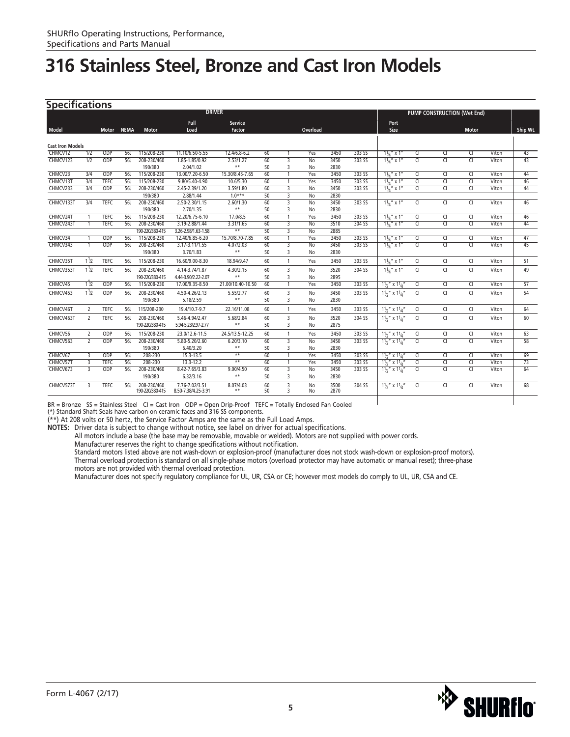| <b>Specifications</b>   |                  |              |                  |                                |                                       | <b>DRIVER</b>             |                 |                     |                |              |        |                                     |                |                | <b>PUMP CONSTRUCTION (Wet End)</b> |       |                 |
|-------------------------|------------------|--------------|------------------|--------------------------------|---------------------------------------|---------------------------|-----------------|---------------------|----------------|--------------|--------|-------------------------------------|----------------|----------------|------------------------------------|-------|-----------------|
|                         |                  |              |                  |                                | Full                                  | <b>Service</b>            |                 |                     |                |              |        | Port                                |                |                |                                    |       |                 |
| <b>Model</b>            |                  | <b>Motor</b> | <b>NEMA</b>      | <b>Motor</b>                   | Load                                  | Factor                    |                 |                     | Overload       |              |        | Size                                |                |                | <b>Motor</b>                       |       | Ship Wt.        |
| <b>Cast Iron Models</b> |                  |              |                  |                                |                                       |                           |                 |                     |                |              |        |                                     |                |                |                                    |       |                 |
| CHMCV12                 | $\overline{1/2}$ | ODP          | $\overline{56J}$ | 115/208-230                    | 11.10/6.50-5.55                       | 12.4/6.8-6.2              | 60              |                     | Yes            | 3450         | 303 SS | $1\frac{1}{4}$ " x 1                | <b>CI</b>      | <b>CI</b>      | <b>CI</b>                          | Viton | 43              |
| CHMCV123                | $\overline{1/2}$ | ODP          | 561              | 208-230/460                    | 1.85-1.85/0.92                        | 2.53/1.27                 | 60              | 3                   | N <sub>o</sub> | 3450         | 303 SS | $1\frac{1}{4}$ " x 1"               | $\overline{c}$ | $\overline{c}$ | $\overline{C}$                     | Viton | $\overline{43}$ |
|                         |                  |              |                  | 190/380                        | 2.04/1.02                             | $\star\,\star$            | 50              | 3                   | No             | 2830         |        |                                     |                |                |                                    |       |                 |
| CHMCV23                 | $\frac{3}{4}$    | ODP          | 561              | 115/208-230                    | 13.00/7.20-6.50                       | 15.30/8.45-7.65           | 60              | $\mathbf{1}$        | Yes            | 3450         | 303 SS | $11_{/a}$ " x 1"                    | $\overline{c}$ | $\overline{c}$ | $\overline{c}$                     | Viton | 44              |
| CHMCV13T                | $\overline{3/4}$ | <b>TEFC</b>  | $\overline{56J}$ | 115/208-230                    | 9.80/5.40-4.90                        | 10.6/5.30                 | 60              | $\overline{1}$      | Yes            | 3450         | 303 SS | $1\frac{1}{4}$ " x 1"               | $\overline{c}$ | $\overline{c}$ | $\overline{c}$                     | Viton | 46              |
| CHMCV233                | $\overline{3/4}$ | ODP          | $\overline{56J}$ | 208-230/460                    | 2.45-2.39/1.20                        | 3.59/1.80                 | 60              | 3                   | <b>No</b>      | 3450         | 303 SS | $1\frac{1}{4}$ " x 1"               | $\overline{c}$ | $\overline{c}$ | $\overline{c}$                     | Viton | 44              |
|                         |                  |              |                  | 190/380                        | 2.88/1.44                             | $1.0***$                  | 50              | 3                   | No             | 2830         |        |                                     |                |                |                                    |       |                 |
| CHMCV133T               | 3/4              | <b>TEFC</b>  | 56J              | 208-230/460                    | 2.50-2.30/1.15                        | 2.60/1.30                 | 60              | 3                   | <b>No</b>      | 3450         | 303 SS | $11_{/a}$ " x 1                     | $\overline{c}$ | $\overline{c}$ | टा                                 | Viton | 46              |
|                         |                  |              |                  | 190/380                        | 2.70/1.35                             | $\star\star$              | 50              | $\overline{3}$      | No             | 2830         |        |                                     |                |                |                                    |       |                 |
| CHMCV24T                |                  | <b>TEFC</b>  | 56J              | 115/208-230                    | 12.20/6.75-6.10                       | 17.0/8.5                  | 60              | $\overline{1}$      | Yes            | 3450         | 303 SS | $1\frac{1}{4}$ x 1                  | $\overline{c}$ | $\overline{c}$ | $\overline{c}$                     | Viton | 46              |
| CHMCV243T               | $\overline{1}$   | <b>TEFC</b>  | 56J              | 208-230/460                    | 3.19-2.88/1.44                        | 3.31/1.65                 | 60              | 3                   | No             | 3510         | 304 SS | $11_{/a}$ " x 1"                    | $\overline{c}$ | $\overline{c}$ | $\overline{c}$                     | Viton | 44              |
|                         |                  |              |                  | 190-220/380-415                | 3.26-2.98/1.63-1.58                   | $\overline{**}$           | $\overline{50}$ | 3                   | <b>No</b>      | 2885         |        |                                     |                |                |                                    |       |                 |
| CHMCV34                 | $\mathbf{1}$     | ODP          | 56J              | 115/208-230                    | 12.40/6.85-6.20                       | 15.70/8.70-7.85           | 60              | $\overline{1}$      | Yes            | 3450         | 303 SS | $1\frac{1}{4}$ " x 1"               | $\overline{c}$ | $\overline{c}$ | <b>CI</b>                          | Viton | 47              |
| CHMCV343                |                  | ODP          | 56J              | 208-230/460                    | 3.17-3.11/1.55                        | 4.07/2.03                 | 60              | 3                   | <b>No</b>      | 3450         | 303 SS | $1\frac{1}{4}$ x 1"                 | $\overline{c}$ | $\overline{c}$ | $\overline{c}$                     | Viton | 45              |
|                         |                  |              |                  | 190/380                        | 3.70/1.83                             | $\star\,\star$            | 50              | $\overline{3}$      | No             | 2830         |        |                                     |                |                |                                    |       |                 |
| CHMCV35T                | $1^{1/2}$        | <b>TEFC</b>  | 56J              | 115/208-230                    | 16.60/9.00-8.30                       | 18.94/9.47                | 60              | $\overline{1}$      | Yes            | 3450         | 303 SS | $1\frac{1}{4}$ " x 1"               | <b>CI</b>      | <b>CI</b>      | CI                                 | Viton | 51              |
| CHMCV353T               | $1^{1/2}$        | <b>TEFC</b>  | <b>56J</b>       | 208-230/460                    | 4.14-3.74/1.87                        | 4.30/2.15                 | 60              | $\overline{3}$      | No             | 3520         | 304 SS | $1\frac{1}{4}$ x 1"                 | CI             | <b>CI</b>      | <b>CI</b>                          | Viton | 49              |
|                         |                  |              |                  | 190-220/380-415                | 4.44-3.90/2.22-2.07                   | $\star\star$              | 50              | $\overline{3}$      | No             | 2895         |        |                                     |                |                |                                    |       |                 |
| CHMCV45                 | $\frac{1}{2}$    | ODP          | <b>56J</b>       | 115/208-230                    | 17.00/9.35-8.50                       | 21.00/10.40-10.50         | 60              | $\overline{1}$      | Yes            | 3450         | 303 SS | $1\frac{1}{2}$ x $1\frac{1}{4}$     | <b>CI</b>      | $\overline{c}$ | $\overline{c}$                     | Viton | 57              |
| CHMCV453                | $1^{1/2}$        | ODP          | 56J              | 208-230/460                    | 4.50-4.26/2.13                        | 5.55/2.77                 | 60              | 3                   | No             | 3450         | 303 SS | $1\frac{1}{2}$ " x $1\frac{1}{4}$ " | CI             | <b>CI</b>      | <b>CI</b>                          | Viton | 54              |
|                         |                  |              |                  | 190/380                        | 5.18/2.59                             | $\star\star$              | 50              | 3                   | No             | 2830         |        |                                     |                |                |                                    |       |                 |
| CHMCV46T                | $\overline{2}$   | <b>TEFC</b>  | 561              | 115/208-230                    | 19.4/10.7-9.7                         | 22.16/11.08               | 60              | $\overline{1}$      | Yes            | 3450         | 303 SS | $11/2$ " x $11/2$ "                 | CI             | <b>CI</b>      | <b>CI</b>                          | Viton | 64              |
| CHMCV463T               | $\overline{2}$   | <b>TEFC</b>  | 56J              | 208-230/460                    | 5.46-4.94/2.47                        | 5.68/2.84                 | 60              | 3                   | No             | 3520         | 304 SS | $1\frac{1}{2}$ " x $1\frac{1}{4}$ " | <b>CI</b>      | <b>CI</b>      | <b>CI</b>                          | Viton | 60              |
|                         |                  |              |                  | 190-220/380-415                | 5.94-5.23/2.97-2.77                   | $\star\star$              | 50              | $\overline{3}$      | No             | 2875         |        |                                     |                |                |                                    |       |                 |
| CHMCV56                 | $\overline{2}$   | ODP          | 56J              | 115/208-230                    | 23.0/12.6-11.5                        | 24.5/13.5-12.25           | 60              | $\overline{1}$      | Yes            | 3450         | 303 SS | $1\frac{1}{2}$ " x $1\frac{1}{4}$ " | <b>CI</b>      | <b>CI</b>      | CI                                 | Viton | 63              |
| CHMCV563                | $\overline{2}$   | ODP          | 56J              | 208-230/460                    | 5.80-5.20/2.60                        | 6.20/3.10                 | 60              | 3                   | <b>No</b>      | 3450         | 303 SS | $11/2$ x $11/2$                     | $\overline{c}$ | $\overline{C}$ | $\overline{C}$                     | Viton | 58              |
|                         |                  |              |                  | 190/380                        | 6.40/3.20                             | $\star\star$              | 50              | 3                   | No             | 2830         |        |                                     |                |                |                                    |       |                 |
| CHMCV67                 | 3                | ODP          | 561              | 208-230                        | $15.3 - 13.5$                         | $\overline{**}$           | 60              |                     | Yes            | 3450         | 303 SS | $1\frac{1}{2}$ " x $1\frac{1}{4}$ " | CI             | $\overline{c}$ | CI                                 | Vlton | 69              |
| CHMCV57T                | 3                | <b>TEFC</b>  | 56               | 208-230                        | $13.3 - 12.2$                         | $\star\star$              | 60              |                     | Yes            | 3450         | 303 SS | $1\frac{1}{2}$ x $1\frac{1}{4}$     | $\overline{c}$ | $\overline{c}$ | $\overline{c}$                     | Viton | $\overline{73}$ |
| CHMCV673                | 3                | ODP          | 56J              | 208-230/460                    | 8.42-7.65/3.83                        | 9.00/4.50                 | 60              | 3                   | <b>No</b>      | 3450         | 303 SS | $11/2$ " x $11/2$ "                 | $\overline{c}$ | $\overline{c}$ | $\overline{c}$                     | Viton | 64              |
|                         |                  |              |                  | 190/380                        | 6.32/3.16                             | $\star\star$              | 50              | 3                   | No             | 2830         |        |                                     |                |                |                                    |       |                 |
| CHMCV573T               | 3                | <b>TEFC</b>  | 56J              | 208-230/460<br>190-220/380-415 | 7.76-7.02/3.51<br>8.50-7.38/4.25-3.91 | 8.07/4.03<br>$\star\star$ | 60<br>50        | $\overline{3}$<br>3 | No<br>No       | 3500<br>2870 | 304 SS | $1\frac{1}{2}$ " x $1\frac{1}{4}$ " | CI             | <b>CI</b>      | <b>CI</b>                          | Viton | 68              |

BR = Bronze SS = Stainless Steel CI = Cast Iron ODP = Open Drip-Proof TEFC = Totally Enclosed Fan Cooled

(\*) Standard Shaft Seals have carbon on ceramic faces and 316 SS components.

(\*\*) At 208 volts or 50 hertz, the Service Factor Amps are the same as the Full Load Amps.

**NOTES:** Driver data is subject to change without notice, see label on driver for actual specifications.

All motors include a base (the base may be removable, movable or welded). Motors are not supplied with power cords.

Manufacturer reserves the right to change specifications without notification.

Standard motors listed above are not wash-down or explosion-proof (manufacturer does not stock wash-down or explosion-proof motors). Thermal overload protection is standard on all single-phase motors (overload protector may have automatic or manual reset); three-phase motors are not provided with thermal overload protection.

Manufacturer does not specify regulatory compliance for UL, UR, CSA or CE; however most models do comply to UL, UR, CSA and CE.

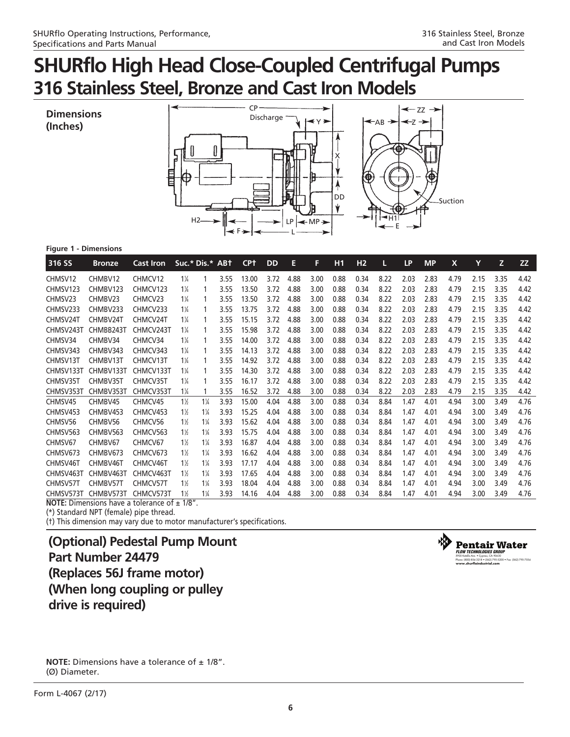**Dimensions (Inches)**





#### **Figure 1 - Dimensions**

| 316 SS    | <b>Bronze</b>                                                     | <b>Cast Iron</b> | Suc.* Dis.* ABT |                |      | CP†   | <b>DD</b> | Е    | F.   | H1   | H <sub>2</sub> | L    | <b>LP</b> | <b>MP</b> | X    | Y    | Z.   | ZZ   |
|-----------|-------------------------------------------------------------------|------------------|-----------------|----------------|------|-------|-----------|------|------|------|----------------|------|-----------|-----------|------|------|------|------|
| CHMSV12   | CHMBV12                                                           | CHMCV12          | $1\frac{1}{4}$  |                | 3.55 | 13.00 | 3.72      | 4.88 | 3.00 | 0.88 | 0.34           | 8.22 | 2.03      | 2.83      | 4.79 | 2.15 | 3.35 | 4.42 |
| CHMSV123  | CHMBV123                                                          | CHMCV123         | $1\frac{1}{4}$  |                | 3.55 | 13.50 | 3.72      | 4.88 | 3.00 | 0.88 | 0.34           | 8.22 | 2.03      | 2.83      | 4.79 | 2.15 | 3.35 | 4.42 |
| CHMSV23   | CHMBV23                                                           | CHMCV23          | $1\frac{1}{4}$  | 1              | 3.55 | 13.50 | 3.72      | 4.88 | 3.00 | 0.88 | 0.34           | 8.22 | 2.03      | 2.83      | 4.79 | 2.15 | 3.35 | 4.42 |
| CHMSV233  | CHMBV233                                                          | CHMCV233         | $1\frac{1}{4}$  |                | 3.55 | 13.75 | 3.72      | 4.88 | 3.00 | 0.88 | 0.34           | 8.22 | 2.03      | 2.83      | 4.79 | 2.15 | 3.35 | 4.42 |
| CHMSV24T  | CHMBV24T                                                          | CHMCV24T         | $1\frac{1}{4}$  |                | 3.55 | 15.15 | 3.72      | 4.88 | 3.00 | 0.88 | 0.34           | 8.22 | 2.03      | 2.83      | 4.79 | 2.15 | 3.35 | 4.42 |
| CHMSV243T | CHMBB243T                                                         | CHMCV243T        | $1\frac{1}{4}$  |                | 3.55 | 15.98 | 3.72      | 4.88 | 3.00 | 0.88 | 0.34           | 8.22 | 2.03      | 2.83      | 4.79 | 2.15 | 3.35 | 4.42 |
| CHMSV34   | CHMBV34                                                           | CHMCV34          | $1\frac{1}{4}$  |                | 3.55 | 14.00 | 3.72      | 4.88 | 3.00 | 0.88 | 0.34           | 8.22 | 2.03      | 2.83      | 4.79 | 2.15 | 3.35 | 4.42 |
| CHMSV343  | CHMBV343                                                          | CHMCV343         | $1\frac{1}{4}$  |                | 3.55 | 14.13 | 3.72      | 4.88 | 3.00 | 0.88 | 0.34           | 8.22 | 2.03      | 2.83      | 4.79 | 2.15 | 3.35 | 4.42 |
| CHMSV13T  | CHMBV13T                                                          | CHMCV13T         | $1\frac{1}{4}$  |                | 3.55 | 14.92 | 3.72      | 4.88 | 3.00 | 0.88 | 0.34           | 8.22 | 2.03      | 2.83      | 4.79 | 2.15 | 3.35 | 4.42 |
| CHMSV133T | CHMBV133T                                                         | CHMCV133T        | $1\frac{1}{4}$  |                | 3.55 | 14.30 | 3.72      | 4.88 | 3.00 | 0.88 | 0.34           | 8.22 | 2.03      | 2.83      | 4.79 | 2.15 | 3.35 | 4.42 |
| CHMSV35T  | CHMBV35T                                                          | CHMCV35T         | $1\frac{1}{4}$  |                | 3.55 | 16.17 | 3.72      | 4.88 | 3.00 | 0.88 | 0.34           | 8.22 | 2.03      | 2.83      | 4.79 | 2.15 | 3.35 | 4.42 |
| CHMSV353T | CHMBV353T                                                         | CHMCV353T        | $1\frac{1}{4}$  | 1              | 3.55 | 16.52 | 3.72      | 4.88 | 3.00 | 0.88 | 0.34           | 8.22 | 2.03      | 2.83      | 4.79 | 2.15 | 3.35 | 4.42 |
| CHMSV45   | CHMBV45                                                           | CHMCV45          | $1\%$           | $1\frac{1}{4}$ | 3.93 | 15.00 | 4.04      | 4.88 | 3.00 | 0.88 | 0.34           | 8.84 | 1.47      | 4.01      | 4.94 | 3.00 | 3.49 | 4.76 |
| CHMSV453  | CHMBV453                                                          | CHMCV453         | $1\%$           | $1\frac{1}{4}$ | 3.93 | 15.25 | 4.04      | 4.88 | 3.00 | 0.88 | 0.34           | 8.84 | 1.47      | 4.01      | 4.94 | 3.00 | 3.49 | 4.76 |
| CHMSV56   | CHMBV56                                                           | CHMCV56          | $1\%$           | $1\frac{1}{4}$ | 3.93 | 15.62 | 4.04      | 4.88 | 3.00 | 0.88 | 0.34           | 8.84 | 1.47      | 4.01      | 4.94 | 3.00 | 3.49 | 4.76 |
| CHMSV563  | CHMBV563                                                          | CHMCV563         | $1\%$           | $1\frac{1}{4}$ | 3.93 | 15.75 | 4.04      | 4.88 | 3.00 | 0.88 | 0.34           | 8.84 | 1.47      | 4.01      | 4.94 | 3.00 | 3.49 | 4.76 |
| CHMSV67   | CHMBV67                                                           | CHMCV67          | $1\frac{1}{2}$  | $1\frac{1}{4}$ | 3.93 | 16.87 | 4.04      | 4.88 | 3.00 | 0.88 | 0.34           | 8.84 | 1.47      | 4.01      | 4.94 | 3.00 | 3.49 | 4.76 |
| CHMSV673  | CHMBV673                                                          | CHMCV673         | $1\%$           | $1\frac{1}{4}$ | 3.93 | 16.62 | 4.04      | 4.88 | 3.00 | 0.88 | 0.34           | 8.84 | 1.47      | 4.01      | 4.94 | 3.00 | 3.49 | 4.76 |
| CHMSV46T  | CHMBV46T                                                          | CHMCV46T         | $1\%$           | $1\frac{1}{4}$ | 3.93 | 17.17 | 4.04      | 4.88 | 3.00 | 0.88 | 0.34           | 8.84 | 1.47      | 4.01      | 4.94 | 3.00 | 3.49 | 4.76 |
| CHMSV463T | CHMBV463T                                                         | CHMCV463T        | 1½              | $1\frac{1}{4}$ | 3.93 | 17.65 | 4.04      | 4.88 | 3.00 | 0.88 | 0.34           | 8.84 | 1.47      | 4.01      | 4.94 | 3.00 | 3.49 | 4.76 |
| CHMSV57T  | CHMBV57T                                                          | CHMCV57T         | $1\frac{1}{2}$  | $1\frac{1}{4}$ | 3.93 | 18.04 | 4.04      | 4.88 | 3.00 | 0.88 | 0.34           | 8.84 | 1.47      | 4.01      | 4.94 | 3.00 | 3.49 | 4.76 |
| CHMSV573T | CHMBV573T<br>MOTE, Discovered and prove a talents of $\sim$ 4.000 | CHMCV573T        | $1\%$           | $1\frac{1}{4}$ | 3.93 | 14.16 | 4.04      | 4.88 | 3.00 | 0.88 | 0.34           | 8.84 | 1.47      | 4.01      | 4.94 | 3.00 | 3.49 | 4.76 |

**NOTE:** Dimensions have a tolerance of ± 1/8".

(\*) Standard NPT (female) pipe thread.

(†) This dimension may vary due to motor manufacturer's specifications.

### **(Optional) Pedestal Pump Mount Part Number 24479 (Replaces 56J frame motor) (When long coupling or pulley drive is required)**



**NOTE:** Dimensions have a tolerance of  $\pm$  1/8". (Ø) Diameter.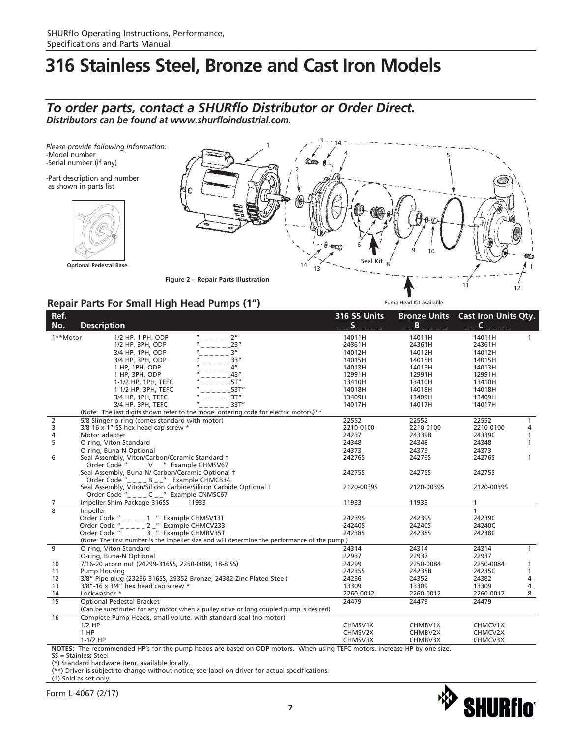### *To order parts, contact a SHURflo Distributor or Order Direct. Distributors can be found at www.shurfloindustrial.com.*

*Please provide following information:* -Model number -Serial number (if any)

-Part description and number as shown in parts list





**Figure 2 – Repair Parts Illustration**

### **Repair Parts For Small High Head Pumps (1")**

|             | Repair Parts For Small High Head Pumps (1")                                                                            |                    | Pump Head Kit available  |                                  |              |
|-------------|------------------------------------------------------------------------------------------------------------------------|--------------------|--------------------------|----------------------------------|--------------|
| Ref.<br>No. | <b>Description</b>                                                                                                     | 316 SS Units<br>S. | <b>Bronze Units</b><br>B | <b>Cast Iron Units Qty.</b><br>C |              |
| 1**Motor    | 2 <sup>n</sup><br>1/2 HP, 1 PH, ODP                                                                                    | 14011H             | 14011H                   | 14011H                           | $\mathbf{1}$ |
|             | 1/2 HP, 3PH, ODP<br>23''                                                                                               | 24361H             | 24361H                   | 24361H                           |              |
|             | 3"<br>3/4 HP, 1PH, ODP                                                                                                 | 14012H             | 14012H                   | 14012H                           |              |
|             | 33''<br>3/4 HP, 3PH, ODP                                                                                               | 14015H             | 14015H                   | 14015H                           |              |
|             | 4 <sup>n</sup><br>1 HP, 1PH, ODP                                                                                       | 14013H             | 14013H                   | 14013H                           |              |
|             | 43"<br>1 HP, 3PH, ODP                                                                                                  | 12991H             | 12991H                   | 12991H                           |              |
|             | 5T''<br>1-1/2 HP, 1PH, TEFC                                                                                            | 13410H             | 13410H                   | 13410H                           |              |
|             | 53T"<br>1-1/2 HP, 3PH, TEFC                                                                                            | 14018H             | 14018H                   | 14018H                           |              |
|             | 3T''<br>3/4 HP, 1PH, TEFC                                                                                              | 13409H             | 13409H                   | 13409H                           |              |
|             | 33T"<br>3/4 HP, 3PH, TEFC                                                                                              | 14017H             | 14017H                   | 14017H                           |              |
|             | (Note: The last digits shown refer to the model ordering code for electric motors.)**                                  |                    |                          |                                  |              |
| 2           | 5/8 Slinger o-ring (comes standard with motor)                                                                         | 22552              | 22552                    | 22552                            | $\mathbf{1}$ |
| 3           | 3/8-16 x 1" SS hex head cap screw *                                                                                    | 2210-0100          | 2210-0100                | 2210-0100                        | 4            |
| 4           | Motor adapter                                                                                                          | 24237              | 24339B                   | 24339C                           | $\mathbf{1}$ |
| 5           | O-ring, Viton Standard                                                                                                 | 24348              | 24348                    | 24348                            | 1            |
|             | O-ring, Buna-N Optional                                                                                                | 24373              | 24373                    | 24373                            |              |
| 6           | Seal Assembly, Viton/Carbon/Ceramic Standard +                                                                         | 24276S             | 24276S                   | 24276S                           | 1            |
|             | Order Code " $_{---}$ V $_{--}$ " Example CHMSV67                                                                      |                    |                          |                                  |              |
|             | Seal Assembly, Buna-N/ Carbon/Ceramic Optional +                                                                       | 24275S             | 24275S                   | 24275S                           |              |
|             | Order Code "_____B __" Example CHMCB34                                                                                 |                    |                          |                                  |              |
|             | Seal Assembly, Viton/Silicon Carbide/Silicon Carbide Optional †                                                        | 2120-00395         | 2120-0039S               | 2120-0039S                       |              |
|             | Order Code "____ C _ _" Example CNMSC67                                                                                |                    |                          |                                  |              |
| 7           | Impeller Shim Package-316SS<br>11933                                                                                   | 11933              | 11933                    | 1                                |              |
| 8           | Impeller                                                                                                               |                    |                          | 1                                |              |
|             | Order Code "<br>$\frac{1}{2}$ $\frac{1}{2}$ $\frac{1}{2}$ Example CHMSV13T                                             | 24239S             | 24239S                   | 24239C                           |              |
|             | Order Code "_____2_" Example CHMCV233                                                                                  | 24240S             | 24240S                   | 24240C                           |              |
|             | Order Code " 3 " Example CHMBV35T                                                                                      | 24238S             | 24238S                   | 24238C                           |              |
|             | (Note: The first number is the impeller size and will determine the performance of the pump.)                          |                    |                          |                                  |              |
| 9           | O-ring, Viton Standard                                                                                                 | 24314              | 24314                    | 24314                            | $\mathbf{1}$ |
|             | O-ring, Buna-N Optional                                                                                                | 22937              | 22937                    | 22937                            |              |
| 10          | 7/16-20 acorn nut (24299-316SS, 2250-0084, 18-8 SS)                                                                    | 24299              | 2250-0084                | 2250-0084                        | 1            |
| 11          | <b>Pump Housing</b>                                                                                                    | 24235S             | 24235B                   | 24235C                           | 1            |
| 12          | 3/8" Pipe plug (23236-316SS, 29352-Bronze, 24382-Zinc Plated Steel)                                                    | 24236              | 24352                    | 24382                            | 4            |
| 13          | $3/8"$ -16 x 3/4" hex head cap screw *                                                                                 | 13309              | 13309                    | 13309                            | 4            |
| 14          | Lockwasher *                                                                                                           | 2260-0012          | 2260-0012                | 2260-0012                        | 8            |
| 15          | <b>Optional Pedestal Bracket</b>                                                                                       | 24479              | 24479                    | 24479                            |              |
|             | (Can be substituted for any motor when a pulley drive or long coupled pump is desired)                                 |                    |                          |                                  |              |
| 16          | Complete Pump Heads, small volute, with standard seal (no motor)                                                       |                    |                          |                                  |              |
|             | $1/2$ HP                                                                                                               | CHMSV1X            | CHMBV1X                  | CHMCV1X                          |              |
|             | 1 HP                                                                                                                   | CHMSV2X            | CHMBV2X                  | CHMCV2X                          |              |
|             | $1-1/2$ HP                                                                                                             | CHMSV3X            | CHMBV3X                  | CHMCV3X                          |              |
|             | NOTES: The recommended HP's for the nump heads are based on ODP motors. When using TEEC motors increase HP by one size |                    |                          |                                  |              |

ors, increase HP by one size. SS = Stainless Steel

(\*) Standard hardware item, available locally.

(\*\*) Driver is subject to change without notice; see label on driver for actual specifications.

(†) Sold as set only.

Form L-4067 (2/17)



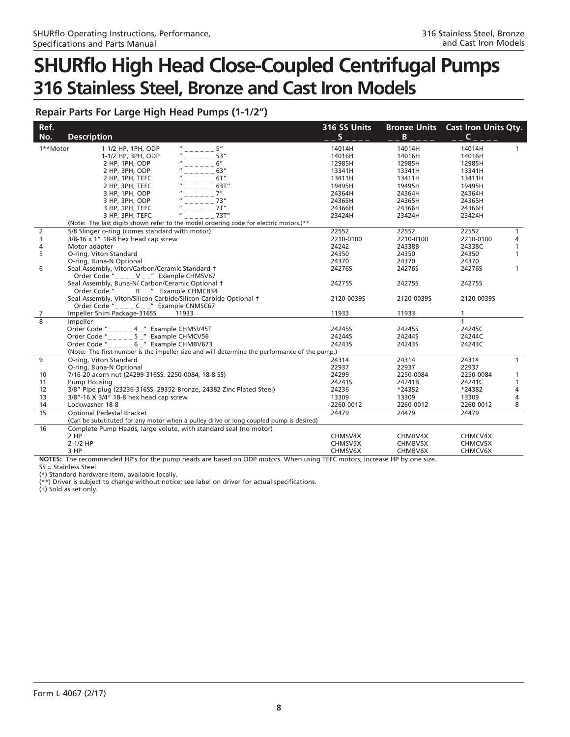### **Repair Parts For Large High Head Pumps (1-1/2")**

| Ref.            |                                                                                               | 316 SS Units |                | <b>Bronze Units</b> Cast Iron Units Qty. |
|-----------------|-----------------------------------------------------------------------------------------------|--------------|----------------|------------------------------------------|
| No.             | <b>Description</b>                                                                            |              | B.             |                                          |
| 1**Motor        | 5"<br>1-1/2 HP, 1PH, ODP                                                                      | 14014H       | 14014H         | 14014H<br>$\mathbf{1}$                   |
|                 | 53"<br>1-1/2 HP, 3PH, ODP                                                                     | 14016H       | 14016H         | 14016H                                   |
|                 | 6"<br>2 HP, 1PH, ODP                                                                          | 12985H       | 12985H         | 12985H                                   |
|                 | 63''<br>2 HP, 3PH, ODP                                                                        | 13341H       | 13341H         | 13341H                                   |
|                 | 6T''<br>2 HP, 1PH, TEFC                                                                       | 13411H       | 13411H         | 13411H                                   |
|                 | 63T"<br>2 HP, 3PH, TEFC                                                                       | 19495H       | 19495H         | 19495H                                   |
|                 | 7"<br>3 HP, 1PH, ODP                                                                          | 24364H       | 24364H         | 24364H                                   |
|                 | 73''<br>3 HP, 3PH, ODP                                                                        | 24365H       | 24365H         | 24365H                                   |
|                 | 7T''<br>3 HP, 1PH, TEFC                                                                       | 24366H       | 24366H         | 24366H                                   |
|                 | 73T''<br>3 HP, 3PH, TEFC                                                                      | 23424H       | 23424H         | 23424H                                   |
|                 | (Note: The last digits shown refer to the model ordering code for electric motors.)**         |              |                |                                          |
| $\overline{2}$  | 5/8 Slinger o-ring (comes standard with motor)                                                | 22552        | 22552          | 22552<br>$\mathbf{1}$                    |
| 3               | 3/8-16 x 1" 18-8 hex head cap screw                                                           | 2210-0100    | 2210-0100      | 2210-0100<br>4                           |
| 4               | Motor adapter                                                                                 | 24242        | 24338B         | 24338C<br>1                              |
| 5               | O-ring, Viton Standard                                                                        | 24350        | 24350          | $\mathbf{1}$<br>24350                    |
|                 | O-ring, Buna-N Optional                                                                       | 24370        | 24370          | 24370                                    |
| 6               | Seal Assembly, Viton/Carbon/Ceramic Standard +                                                | 24276S       | 24276S         | 24276S<br>1                              |
|                 | Order Code "____V __" Example CHMSV67<br>Seal Assembly, Buna-N/ Carbon/Ceramic Optional +     | 24275S       | 24275S         | 24275S                                   |
|                 | Order Code "_____B __" Example CHMCB34                                                        |              |                |                                          |
|                 | Seal Assembly, Viton/Silicon Carbide/Silicon Carbide Optional +                               | 2120-00395   | 2120-00395     | 2120-0039S                               |
|                 | Order Code "____ C _ _" Example CNMSC67                                                       |              |                |                                          |
| 7               | Impeller Shim Package-316SS<br>11933                                                          | 11933        | 11933          | 1                                        |
| $\overline{8}$  | Impeller                                                                                      |              |                | $\mathbf{1}$                             |
|                 | Order Code "<br>$    4$ $-$ " Example CHMSV45T                                                | 24245S       | 24245S         | 24245C                                   |
|                 | Order Code "_____5_" Example CHMCV56                                                          | 24244S       | 24244S         | 24244C                                   |
|                 | Order Code "_____ 6_" Example CHMBV673                                                        | 24243S       | 24243S         | 24243C                                   |
|                 | (Note: The first number is the impeller size and will determine the performance of the pump.) |              |                |                                          |
| $\overline{9}$  | O-ring, Viton Standard                                                                        | 24314        | 24314          | 24314<br>$\mathbf{1}$                    |
|                 | O-ring, Buna-N Optional                                                                       | 22937        | 22937          | 22937                                    |
| 10              | 7/16-20 acorn nut (24299-316SS, 2250-0084, 18-8 SS)                                           | 24299        | 2250-0084      | 2250-0084<br>1                           |
| 11              | <b>Pump Housing</b>                                                                           | 24241S       | 24241B         | 24241C<br>1                              |
| 12              | 3/8" Pipe plug (23236-316SS, 29352-Bronze, 24382 Zinc Plated Steel)                           | 24236        | *24352         | *24382<br>4                              |
| 13              | 3/8"-16 X 3/4" 18-8 hex head cap screw                                                        | 13309        | 13309          | 13309<br>4                               |
| 14              | Lockwasher 18-8                                                                               | 2260-0012    | 2260-0012      | 8<br>2260-0012                           |
| $\overline{15}$ | <b>Optional Pedestal Bracket</b>                                                              | 24479        | 24479          | 24479                                    |
|                 | (Can be substituted for any motor when a pulley drive or long coupled pump is desired)        |              |                |                                          |
| 16              | Complete Pump Heads, large volute, with standard seal (no motor)                              |              |                |                                          |
|                 | 2 HP                                                                                          | CHMSV4X      | CHMBV4X        | CHMCV4X                                  |
|                 | 2-1/2 HP                                                                                      | CHMSV5X      | CHMBV5X        | CHMCV5X                                  |
|                 | 3 HP                                                                                          | CHMSV6X      | <b>CHMBV6X</b> | CHMCV6X                                  |

**NOTES:** The recommended HP's for the pump heads are based on ODP motors. When using TEFC motors, increase HP by one size.

SS = Stainless Steel

(\*) Standard hardware item, available locally.

(\*\*) Driver is subject to change without notice; see label on driver for actual specifications.

(†) Sold as set only.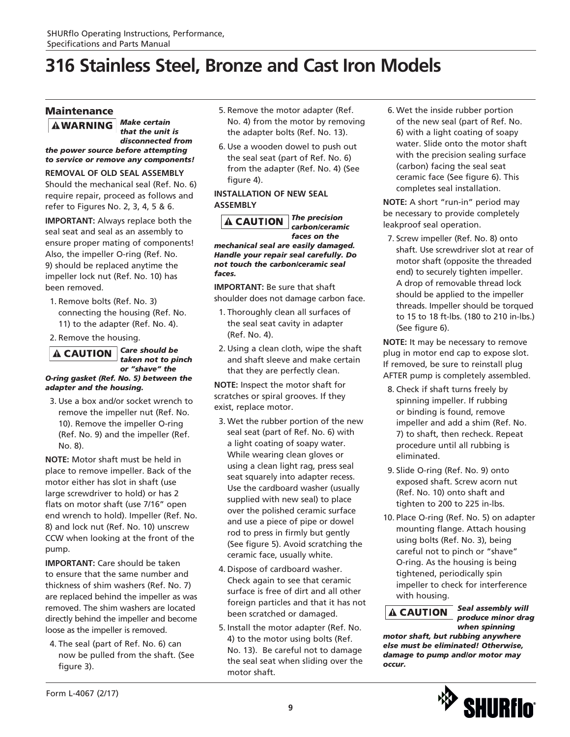### Maintenance



#### *Make certain that the unit is*

*disconnected from the power source before attempting to service or remove any components!*

**REMOVAL OF OLD SEAL ASSEMBLY**

Should the mechanical seal (Ref. No. 6) require repair, proceed as follows and refer to Figures No. 2, 3, 4, 5 & 6.

**IMPORTANT:** Always replace both the seal seat and seal as an assembly to ensure proper mating of components! Also, the impeller O-ring (Ref. No. 9) should be replaced anytime the impeller lock nut (Ref. No. 10) has been removed.

1. Remove bolts (Ref. No. 3) connecting the housing (Ref. No. 11) to the adapter (Ref. No. 4).

2. Remove the housing.

#### *Care should be*  **A CAUTION** *taken not to pinch or "shave" the O-ring gasket (Ref. No. 5) between the adapter and the housing.*

3. Use a box and/or socket wrench to remove the impeller nut (Ref. No. 10). Remove the impeller O-ring (Ref. No. 9) and the impeller (Ref. No. 8).

**NOTE:** Motor shaft must be held in place to remove impeller. Back of the motor either has slot in shaft (use large screwdriver to hold) or has 2 flats on motor shaft (use 7/16" open end wrench to hold). Impeller (Ref. No. 8) and lock nut (Ref. No. 10) unscrew CCW when looking at the front of the pump.

**IMPORTANT:** Care should be taken to ensure that the same number and thickness of shim washers (Ref. No. 7) are replaced behind the impeller as was removed. The shim washers are located directly behind the impeller and become loose as the impeller is removed.

4. The seal (part of Ref. No. 6) can now be pulled from the shaft. (See figure 3).

- 5. Remove the motor adapter (Ref. No. 4) from the motor by removing the adapter bolts (Ref. No. 13).
- 6. Use a wooden dowel to push out the seal seat (part of Ref. No. 6) from the adapter (Ref. No. 4) (See figure 4).

### **INSTALLATION OF NEW SEAL ASSEMBLY**



*mechanical seal are easily damaged. Handle your repair seal carefully. Do not touch the carbon/ceramic seal faces.*

**IMPORTANT:** Be sure that shaft shoulder does not damage carbon face.

- 1. Thoroughly clean all surfaces of the seal seat cavity in adapter (Ref. No. 4).
- 2. Using a clean cloth, wipe the shaft and shaft sleeve and make certain that they are perfectly clean.

**NOTE:** Inspect the motor shaft for scratches or spiral grooves. If they exist, replace motor.

- 3. Wet the rubber portion of the new seal seat (part of Ref. No. 6) with a light coating of soapy water. While wearing clean gloves or using a clean light rag, press seal seat squarely into adapter recess. Use the cardboard washer (usually supplied with new seal) to place over the polished ceramic surface and use a piece of pipe or dowel rod to press in firmly but gently (See figure 5). Avoid scratching the ceramic face, usually white.
- 4. Dispose of cardboard washer. Check again to see that ceramic surface is free of dirt and all other foreign particles and that it has not been scratched or damaged.
- 5. Install the motor adapter (Ref. No. 4) to the motor using bolts (Ref. No. 13). Be careful not to damage the seal seat when sliding over the motor shaft.

6. Wet the inside rubber portion of the new seal (part of Ref. No. 6) with a light coating of soapy water. Slide onto the motor shaft with the precision sealing surface (carbon) facing the seal seat ceramic face (See figure 6). This completes seal installation.

**NOTE:** A short "run-in" period may be necessary to provide completely leakproof seal operation.

7. Screw impeller (Ref. No. 8) onto shaft. Use screwdriver slot at rear of motor shaft (opposite the threaded end) to securely tighten impeller. A drop of removable thread lock should be applied to the impeller threads. Impeller should be torqued to 15 to 18 ft-lbs. (180 to 210 in-lbs.) (See figure 6).

**NOTE:** It may be necessary to remove plug in motor end cap to expose slot. If removed, be sure to reinstall plug AFTER pump is completely assembled.

- 8. Check if shaft turns freely by spinning impeller. If rubbing or binding is found, remove impeller and add a shim (Ref. No. 7) to shaft, then recheck. Repeat procedure until all rubbing is eliminated.
- 9. Slide O-ring (Ref. No. 9) onto exposed shaft. Screw acorn nut (Ref. No. 10) onto shaft and tighten to 200 to 225 in-lbs.
- 10. Place O-ring (Ref. No. 5) on adapter mounting flange. Attach housing using bolts (Ref. No. 3), being careful not to pinch or "shave" O-ring. As the housing is being tightened, periodically spin impeller to check for interference with housing.

## **A CAUTION**

*Seal assembly will produce minor drag when spinning* 

*motor shaft, but rubbing anywhere else must be eliminated! Otherwise, damage to pump and/or motor may occur.*

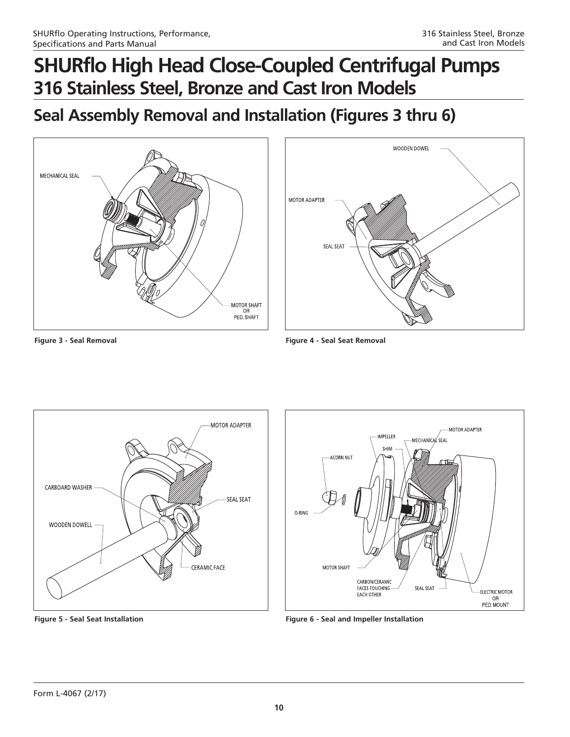## **Seal Assembly Removal and Installation (Figures 3 thru 6)**





**Figure 3 - Seal Removal Figure 4 - Seal Seat Removal**





**Figure 5 - Seal Seat Installation Figure 6 - Seal and Impeller Installation**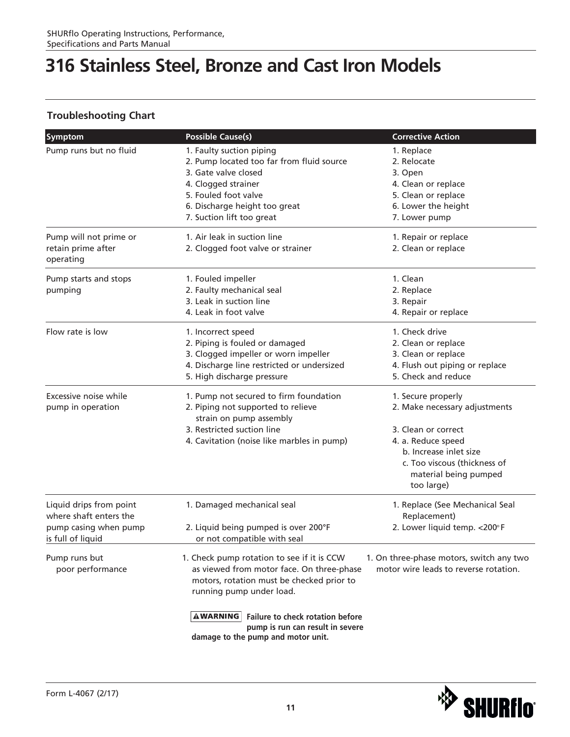### **Troubleshooting Chart**

| <b>Symptom</b>          | <b>Possible Cause(s)</b>                            | <b>Corrective Action</b>                 |
|-------------------------|-----------------------------------------------------|------------------------------------------|
| Pump runs but no fluid  | 1. Faulty suction piping                            | 1. Replace                               |
|                         | 2. Pump located too far from fluid source           | 2. Relocate                              |
|                         | 3. Gate valve closed                                | 3. Open                                  |
|                         | 4. Clogged strainer                                 | 4. Clean or replace                      |
|                         | 5. Fouled foot valve                                | 5. Clean or replace                      |
|                         | 6. Discharge height too great                       | 6. Lower the height                      |
|                         | 7. Suction lift too great                           | 7. Lower pump                            |
| Pump will not prime or  | 1. Air leak in suction line                         | 1. Repair or replace                     |
| retain prime after      | 2. Clogged foot valve or strainer                   | 2. Clean or replace                      |
| operating               |                                                     |                                          |
| Pump starts and stops   | 1. Fouled impeller                                  | 1. Clean                                 |
| pumping                 | 2. Faulty mechanical seal                           | 2. Replace                               |
|                         | 3. Leak in suction line                             | 3. Repair                                |
|                         | 4. Leak in foot valve                               | 4. Repair or replace                     |
| Flow rate is low        | 1. Incorrect speed                                  | 1. Check drive                           |
|                         | 2. Piping is fouled or damaged                      | 2. Clean or replace                      |
|                         | 3. Clogged impeller or worn impeller                | 3. Clean or replace                      |
|                         | 4. Discharge line restricted or undersized          | 4. Flush out piping or replace           |
|                         | 5. High discharge pressure                          | 5. Check and reduce                      |
| Excessive noise while   | 1. Pump not secured to firm foundation              | 1. Secure properly                       |
| pump in operation       | 2. Piping not supported to relieve                  | 2. Make necessary adjustments            |
|                         | strain on pump assembly                             |                                          |
|                         | 3. Restricted suction line                          | 3. Clean or correct                      |
|                         | 4. Cavitation (noise like marbles in pump)          | 4. a. Reduce speed                       |
|                         |                                                     | b. Increase inlet size                   |
|                         |                                                     | c. Too viscous (thickness of             |
|                         |                                                     | material being pumped                    |
|                         |                                                     | too large)                               |
| Liquid drips from point | 1. Damaged mechanical seal                          | 1. Replace (See Mechanical Seal          |
| where shaft enters the  |                                                     | Replacement)                             |
| pump casing when pump   | 2. Liquid being pumped is over 200°F                | 2. Lower liquid temp. < 200°F            |
| is full of liquid       | or not compatible with seal                         |                                          |
| Pump runs but           | 1. Check pump rotation to see if it is CCW          | 1. On three-phase motors, switch any two |
| poor performance        | as viewed from motor face. On three-phase           | motor wire leads to reverse rotation.    |
|                         | motors, rotation must be checked prior to           |                                          |
|                         | running pump under load.                            |                                          |
|                         | <b>AWARNING</b><br>Failure to check rotation before |                                          |
|                         | pump is run can result in severe                    |                                          |
|                         | damage to the pump and motor unit.                  |                                          |